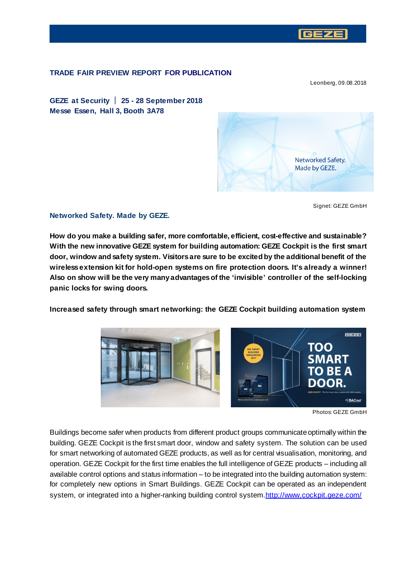

## **TRADE FAIR PREVIEW REPORT FOR PUBLICATION**

Leonberg, 09.08.2018

**GEZE at Security 25 - 28 September 2018 Messe Essen, Hall 3, Booth 3A78**



Signet: GEZE GmbH

#### **Networked Safety. Made by GEZE.**

**How do you make a building safer, more comfortable, efficient, cost-effective and sustainable? With the new innovative GEZE system for building automation: GEZE Cockpit is the first smart door, window and safety system. Visitors are sure to be excited by the additional benefit of the wireless extension kit for hold-open systems on fire protection doors. It's already a winner! Also on show will be the very many advantages of the 'invisible' controller of the self-locking panic locks for swing doors.**

**Increased safety through smart networking: the GEZE Cockpit building automation system**



Photos: GEZE GmbH

Buildings become safer when products from different product groups communicate optimally within the building. GEZE Cockpit is the first smart door, window and safety system. The solution can be used for smart networking of automated GEZE products, as well as for central visualisation, monitoring, and operation. GEZE Cockpit for the first time enables the full intelligence of GEZE products – including all available control options and status information – to be integrated into the building automation system: for completely new options in Smart Buildings. GEZE Cockpit can be operated as an independent system, or integrated into a higher-ranking building control syst[em.http://www.cockpit.geze.c](http://www.cockpit.geze.com/)om/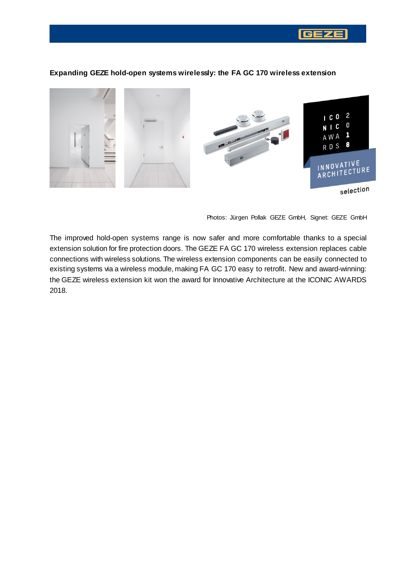

## **Expanding GEZE hold-open systems wirelessly: the FA GC 170 wireless extension**

Photos: Jürgen Pollak GEZE GmbH, Signet: GEZE GmbH

The improved hold-open systems range is now safer and more comfortable thanks to a special extension solution for fire protection doors. The GEZE FA GC 170 wireless extension replaces cable connections with wireless solutions. The wireless extension components can be easily connected to existing systems via a wireless module, making FA GC 170 easy to retrofit. New and award-winning: the GEZE wireless extension kit won the award for Innovative Architecture at the ICONIC AWARDS 2018.